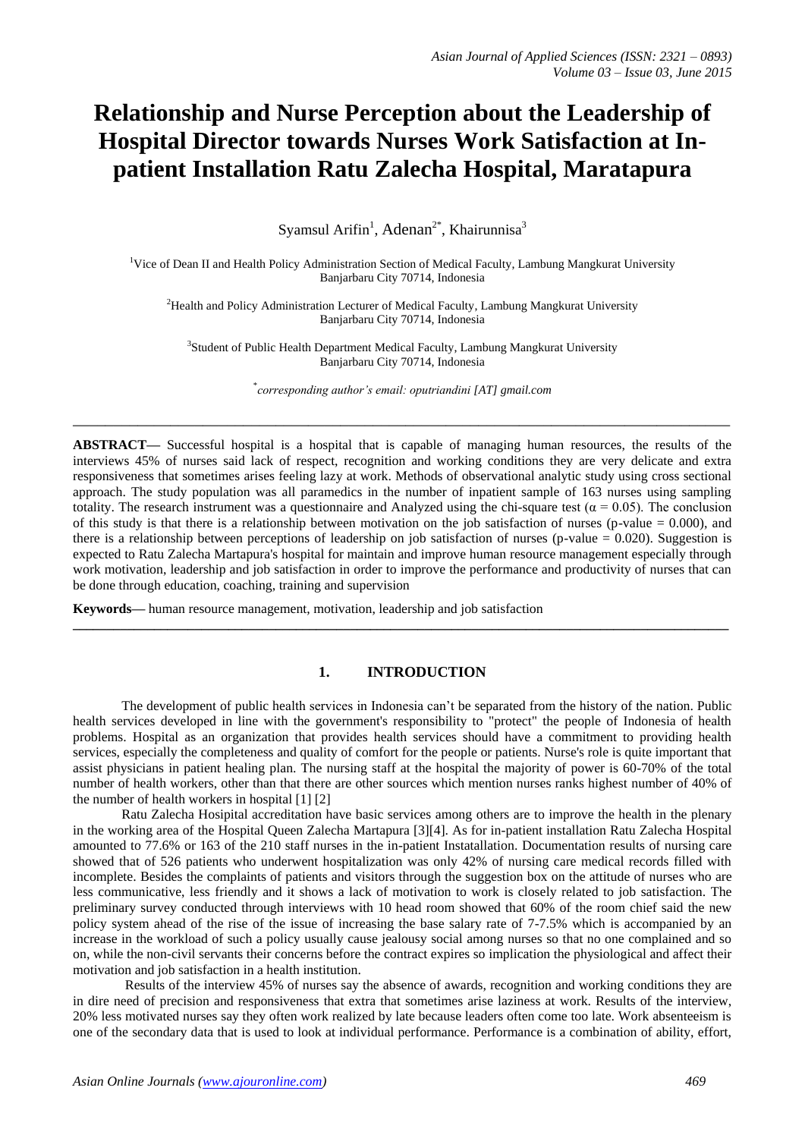# **Relationship and Nurse Perception about the Leadership of Hospital Director towards Nurses Work Satisfaction at Inpatient Installation Ratu Zalecha Hospital, Maratapura**

Syamsul Arifin<sup>1</sup>, Adenan<sup>2\*</sup>, Khairunnisa<sup>3</sup>

<sup>1</sup>Vice of Dean II and Health Policy Administration Section of Medical Faculty, Lambung Mangkurat University Banjarbaru City 70714, Indonesia

<sup>2</sup>Health and Policy Administration Lecturer of Medical Faculty, Lambung Mangkurat University Banjarbaru City 70714, Indonesia

<sup>3</sup>Student of Public Health Department Medical Faculty, Lambung Mangkurat University Banjarbaru City 70714, Indonesia

\* *corresponding author's email: oputriandini [AT] gmail.com*

**\_\_\_\_\_\_\_\_\_\_\_\_\_\_\_\_\_\_\_\_\_\_\_\_\_\_\_\_\_\_\_\_\_\_\_\_\_\_\_\_\_\_\_\_\_\_\_\_\_\_\_\_\_\_\_\_\_\_\_\_\_\_\_\_\_\_\_\_\_\_\_\_\_\_\_\_\_\_\_\_\_**

**ABSTRACT—** Successful hospital is a hospital that is capable of managing human resources, the results of the interviews 45% of nurses said lack of respect, recognition and working conditions they are very delicate and extra responsiveness that sometimes arises feeling lazy at work. Methods of observational analytic study using cross sectional approach. The study population was all paramedics in the number of inpatient sample of 163 nurses using sampling totality. The research instrument was a questionnaire and Analyzed using the chi-square test ( $\alpha = 0.05$ ). The conclusion of this study is that there is a relationship between motivation on the job satisfaction of nurses (p-value  $= 0.000$ ), and there is a relationship between perceptions of leadership on job satisfaction of nurses (p-value  $= 0.020$ ). Suggestion is expected to Ratu Zalecha Martapura's hospital for maintain and improve human resource management especially through work motivation, leadership and job satisfaction in order to improve the performance and productivity of nurses that can be done through education, coaching, training and supervision

**Keywords—** human resource management, motivation, leadership and job satisfaction

# **1. INTRODUCTION**

**\_\_\_\_\_\_\_\_\_\_\_\_\_\_\_\_\_\_\_\_\_\_\_\_\_\_\_\_\_\_\_\_\_\_\_\_\_\_\_\_\_\_\_\_\_\_\_\_\_\_\_\_\_\_\_\_\_\_\_\_\_\_\_\_\_\_\_\_\_\_\_\_\_\_\_\_\_\_\_\_\_\_\_\_\_\_\_\_\_\_\_\_\_\_\_\_\_**

The development of public health services in Indonesia can't be separated from the history of the nation. Public health services developed in line with the government's responsibility to "protect" the people of Indonesia of health problems. Hospital as an organization that provides health services should have a commitment to providing health services, especially the completeness and quality of comfort for the people or patients. Nurse's role is quite important that assist physicians in patient healing plan. The nursing staff at the hospital the majority of power is 60-70% of the total number of health workers, other than that there are other sources which mention nurses ranks highest number of 40% of the number of health workers in hospital [1] [2]

Ratu Zalecha Hosipital accreditation have basic services among others are to improve the health in the plenary in the working area of the Hospital Queen Zalecha Martapura [3][4]. As for in-patient installation Ratu Zalecha Hospital amounted to 77.6% or 163 of the 210 staff nurses in the in-patient Instatallation. Documentation results of nursing care showed that of 526 patients who underwent hospitalization was only 42% of nursing care medical records filled with incomplete. Besides the complaints of patients and visitors through the suggestion box on the attitude of nurses who are less communicative, less friendly and it shows a lack of motivation to work is closely related to job satisfaction. The preliminary survey conducted through interviews with 10 head room showed that 60% of the room chief said the new policy system ahead of the rise of the issue of increasing the base salary rate of 7-7.5% which is accompanied by an increase in the workload of such a policy usually cause jealousy social among nurses so that no one complained and so on, while the non-civil servants their concerns before the contract expires so implication the physiological and affect their motivation and job satisfaction in a health institution.

Results of the interview 45% of nurses say the absence of awards, recognition and working conditions they are in dire need of precision and responsiveness that extra that sometimes arise laziness at work. Results of the interview, 20% less motivated nurses say they often work realized by late because leaders often come too late. Work absenteeism is one of the secondary data that is used to look at individual performance. Performance is a combination of ability, effort,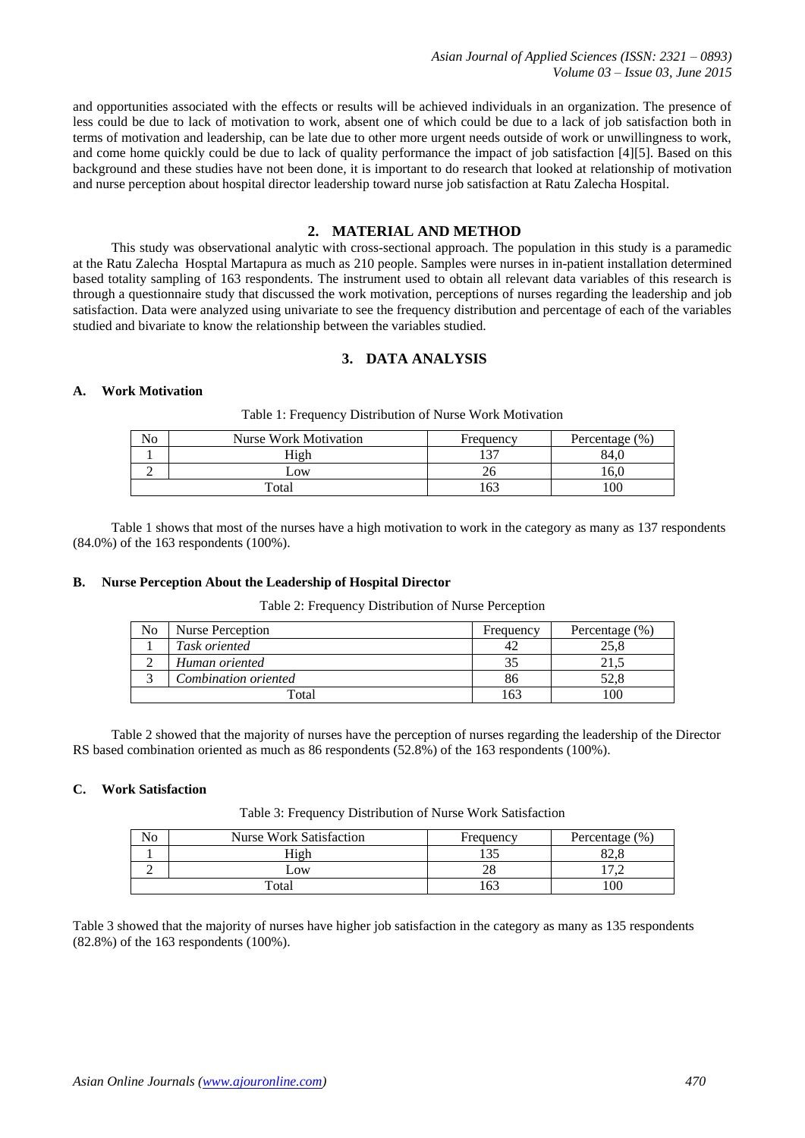*Asian Journal of Applied Sciences (ISSN: 2321 – 0893) Volume 03 – Issue 03, June 2015*

and opportunities associated with the effects or results will be achieved individuals in an organization. The presence of less could be due to lack of motivation to work, absent one of which could be due to a lack of job satisfaction both in terms of motivation and leadership, can be late due to other more urgent needs outside of work or unwillingness to work, and come home quickly could be due to lack of quality performance the impact of job satisfaction [4][5]. Based on this background and these studies have not been done, it is important to do research that looked at relationship of motivation and nurse perception about hospital director leadership toward nurse job satisfaction at Ratu Zalecha Hospital.

#### **2. MATERIAL AND METHOD**

This study was observational analytic with cross-sectional approach. The population in this study is a paramedic at the Ratu Zalecha Hosptal Martapura as much as 210 people. Samples were nurses in in-patient installation determined based totality sampling of 163 respondents. The instrument used to obtain all relevant data variables of this research is through a questionnaire study that discussed the work motivation, perceptions of nurses regarding the leadership and job satisfaction. Data were analyzed using univariate to see the frequency distribution and percentage of each of the variables studied and bivariate to know the relationship between the variables studied.

## **3. DATA ANALYSIS**

#### **A. Work Motivation**

|  |  |  |  |  |  |  |  | Table 1: Frequency Distribution of Nurse Work Motivation |
|--|--|--|--|--|--|--|--|----------------------------------------------------------|
|--|--|--|--|--|--|--|--|----------------------------------------------------------|

| $\mathbf{r}$<br>No | Nurse Work Motivation | Frequency | Percentage (%) |
|--------------------|-----------------------|-----------|----------------|
|                    | High                  |           | 84.t           |
|                    | $-0W$                 |           | 10,0           |
|                    | Total                 |           | 100            |

Table 1 shows that most of the nurses have a high motivation to work in the category as many as 137 respondents (84.0%) of the 163 respondents (100%).

#### **B. Nurse Perception About the Leadership of Hospital Director**

Table 2: Frequency Distribution of Nurse Perception

| No | Nurse Perception     | Frequency | Percentage $(\% )$ |
|----|----------------------|-----------|--------------------|
|    | Task oriented        | 42        | 25.8               |
|    | Human oriented       |           | 4 I                |
|    | Combination oriented | 86        | 52.8               |
|    | Total                | -63       | 100                |

Table 2 showed that the majority of nurses have the perception of nurses regarding the leadership of the Director RS based combination oriented as much as 86 respondents (52.8%) of the 163 respondents (100%).

## **C. Work Satisfaction**

Table 3: Frequency Distribution of Nurse Work Satisfaction

| No | <b>Nurse Work Satisfaction</b> | Frequency       | Percentage $(\% )$       |
|----|--------------------------------|-----------------|--------------------------|
|    | High                           | $1 \cap F$      |                          |
| ∽  | $_{\rm{10W}}$                  | ∠⊂              | $\overline{\phantom{0}}$ |
|    | Total                          | 16 <sup>2</sup> | 100                      |

Table 3 showed that the majority of nurses have higher job satisfaction in the category as many as 135 respondents (82.8%) of the 163 respondents (100%).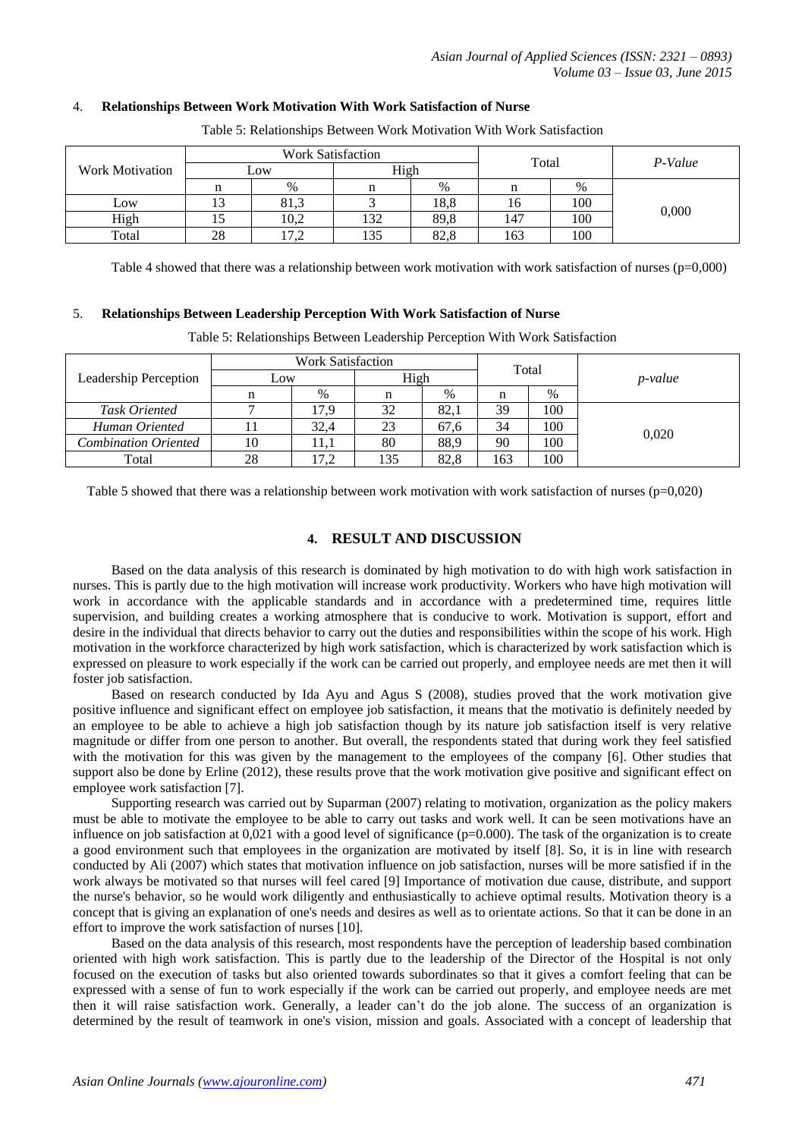## 4. **Relationships Between Work Motivation With Work Satisfaction of Nurse**

|                        | <b>Work Satisfaction</b> |                                            |      |      |       |      |         |
|------------------------|--------------------------|--------------------------------------------|------|------|-------|------|---------|
| <b>Work Motivation</b> | Low                      |                                            | High |      | Total |      | P-Value |
|                        |                          | $\%$                                       |      | %    |       | $\%$ |         |
| Low                    |                          | 81,3                                       |      | 18,8 | 10.   | 100  |         |
| High                   | 12                       | 10,2                                       | 132  | 89,8 | 147   | 100  | 0,000   |
| Total                  | 28                       | $\overline{ }$<br>$\overline{\phantom{a}}$ | 135  | 82,8 | 163   | 100  |         |

Table 5: Relationships Between Work Motivation With Work Satisfaction

Table 4 showed that there was a relationship between work motivation with work satisfaction of nurses (p=0,000)

## 5. **Relationships Between Leadership Perception With Work Satisfaction of Nurse**

Table 5: Relationships Between Leadership Perception With Work Satisfaction

|                             | <b>Work Satisfaction</b> |         |      |      | Total |      |                 |
|-----------------------------|--------------------------|---------|------|------|-------|------|-----------------|
| Leadership Perception       | Low                      |         | High |      |       |      | <i>p</i> -value |
|                             |                          | $\%$    |      | $\%$ | n     | $\%$ |                 |
| Task Oriented               |                          | 17.9    | 32   | 82.1 | 39    | 100  |                 |
| Human Oriented              |                          | 32.4    | 23   | 67.6 | 34    | 100  | 0.020           |
| <b>Combination Oriented</b> | 10                       | $1.1\,$ | 80   | 88.9 | 90    | 100  |                 |
| Total                       | 28                       | 17,2    | 135  | 82.8 | 163   | 100  |                 |

Table 5 showed that there was a relationship between work motivation with work satisfaction of nurses ( $p=0,020$ )

# **4. RESULT AND DISCUSSION**

Based on the data analysis of this research is dominated by high motivation to do with high work satisfaction in nurses. This is partly due to the high motivation will increase work productivity. Workers who have high motivation will work in accordance with the applicable standards and in accordance with a predetermined time, requires little supervision, and building creates a working atmosphere that is conducive to work. Motivation is support, effort and desire in the individual that directs behavior to carry out the duties and responsibilities within the scope of his work. High motivation in the workforce characterized by high work satisfaction, which is characterized by work satisfaction which is expressed on pleasure to work especially if the work can be carried out properly, and employee needs are met then it will foster job satisfaction.

Based on research conducted by Ida Ayu and Agus S (2008), studies proved that the work motivation give positive influence and significant effect on employee job satisfaction, it means that the motivatio is definitely needed by an employee to be able to achieve a high job satisfaction though by its nature job satisfaction itself is very relative magnitude or differ from one person to another. But overall, the respondents stated that during work they feel satisfied with the motivation for this was given by the management to the employees of the company [6]. Other studies that support also be done by Erline (2012), these results prove that the work motivation give positive and significant effect on employee work satisfaction [7].

Supporting research was carried out by Suparman (2007) relating to motivation, organization as the policy makers must be able to motivate the employee to be able to carry out tasks and work well. It can be seen motivations have an influence on job satisfaction at  $0.021$  with a good level of significance ( $p=0.000$ ). The task of the organization is to create a good environment such that employees in the organization are motivated by itself [8]. So, it is in line with research conducted by Ali (2007) which states that motivation influence on job satisfaction, nurses will be more satisfied if in the work always be motivated so that nurses will feel cared [9] Importance of motivation due cause, distribute, and support the nurse's behavior, so he would work diligently and enthusiastically to achieve optimal results. Motivation theory is a concept that is giving an explanation of one's needs and desires as well as to orientate actions. So that it can be done in an effort to improve the work satisfaction of nurses [10].

Based on the data analysis of this research, most respondents have the perception of leadership based combination oriented with high work satisfaction. This is partly due to the leadership of the Director of the Hospital is not only focused on the execution of tasks but also oriented towards subordinates so that it gives a comfort feeling that can be expressed with a sense of fun to work especially if the work can be carried out properly, and employee needs are met then it will raise satisfaction work. Generally, a leader can't do the job alone. The success of an organization is determined by the result of teamwork in one's vision, mission and goals. Associated with a concept of leadership that